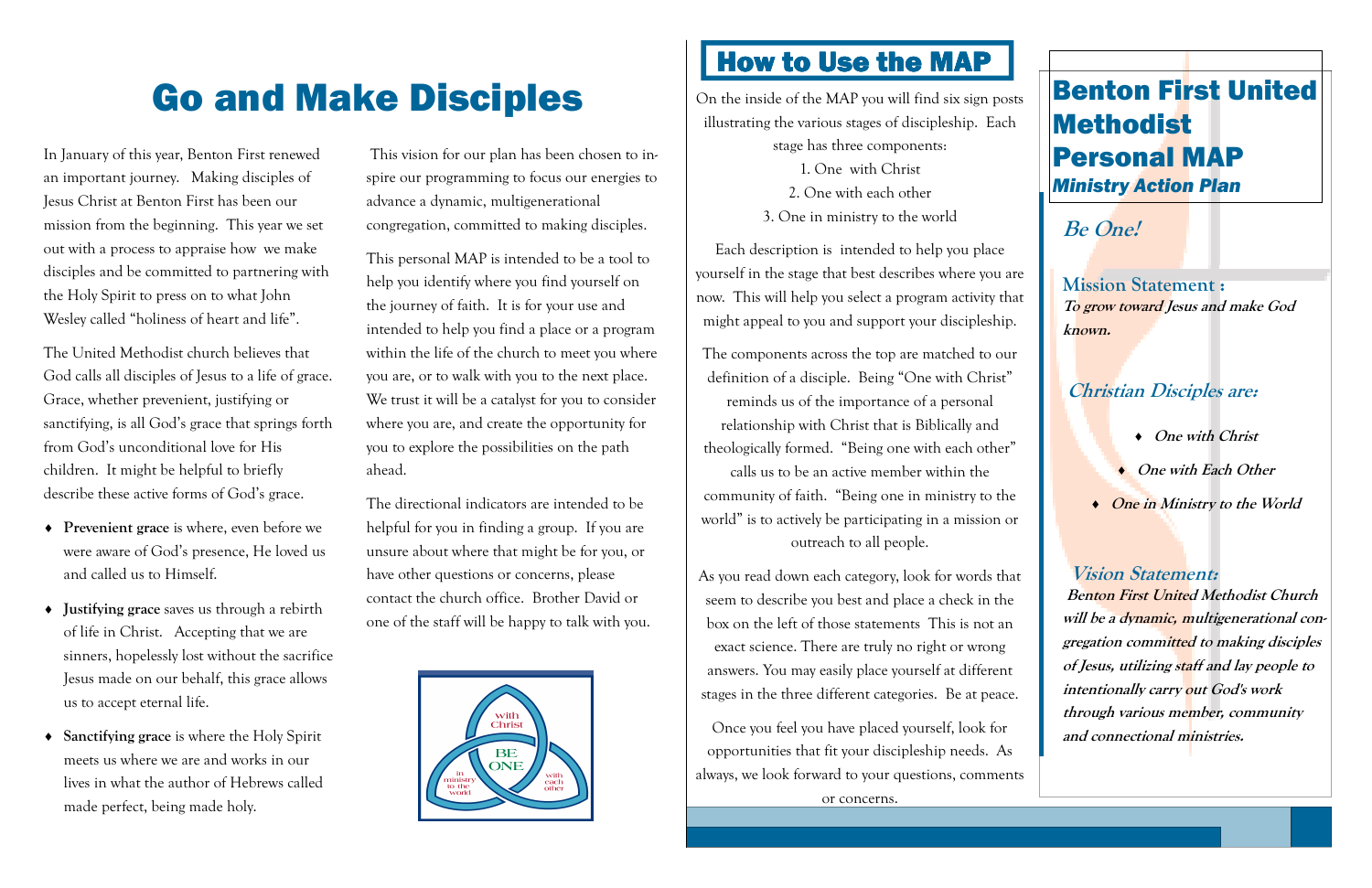#### **Be One!**

**Mission Statement : To grow toward Jesus and make God known.** 

- ♦ **One with Christ**
- ♦ **One with Each Other**
- **One in Ministry to the World**

#### **Christian Disciples are:**

**Vision Statement: Benton First United Methodist Church will be a dynamic, multigenerational congregation committed to making disciples of Jesus, utilizing staff and lay people to intentionally carry out God's work through various member, community and connectional ministries.** 

# Go and Make Disciples **On the inside of the MAP you will find six sign posts** illustrating the various stages of discipleship. Each

In January of this year, Benton First renewed an important journey. Making disciples of Jesus Christ at Benton First has been our mission from the beginning. This year we set out with a process to appraise how we make disciples and be committed to partnering with the Holy Spirit to press on to what John Wesley called "holiness of heart and life".

The United Methodist church believes that God calls all disciples of Jesus to a life of grace. Grace, whether prevenient, justifying or sanctifying, is all God's grace that springs forth from God's unconditional love for His children. It might be helpful to briefly describe these active forms of God's grace.

- ♦ **Prevenient grace** is where, even before we were aware of God's presence, He loved us and called us to Himself.
- ♦ **Justifying grace** saves us through a rebirth of life in Christ. Accepting that we are sinners, hopelessly lost without the sacrifice Jesus made on our behalf, this grace allows us to accept eternal life.
- ♦ **Sanctifying grace** is where the Holy Spirit meets us where we are and works in our lives in what the author of Hebrews called made perfect, being made holy.

stage has three components:

- 1. One with Christ
- 2. One with each other
- 3. One in ministry to the world

Each description is intended to help you place yourself in the stage that best describes where you are now. This will help you select a program activity that might appeal to you and support your discipleship.

The components across the top are matched to our definition of a disciple. Being "One with Christ" reminds us of the importance of a personal relationship with Christ that is Biblically and theologically formed. "Being one with each other" calls us to be an active member within the community of faith. "Being one in ministry to the world" is to actively be participating in a mission or outreach to all people.

As you read down each category, look for words thatseem to describe you best and place a check in the box on the left of those statements This is not anexact science. There are truly no right or wrong answers. You may easily place yourself at differentstages in the three different categories. Be at peace.

Once you feel you have placed yourself, look for opportunities that fit your discipleship needs. Asalways, we look forward to your questions, commentsor concerns.



### Benton First United Methodist Personal MAP *Ministry Action Plan*

 This vision for our plan has been chosen to inspire our programming to focus our energies to advance a dynamic, multigenerational congregation, committed to making disciples.

This personal MAP is intended to be a tool to help you identify where you find yourself on the journey of faith. It is for your use and intended to help you find a place or a program within the life of the church to meet you where you are, or to walk with you to the next place. We trust it will be a catalyst for you to consider where you are, and create the opportunity for you to explore the possibilities on the path ahead.

The directional indicators are intended to be helpful for you in finding a group. If you are unsure about where that might be for you, or have other questions or concerns, please contact the church office. Brother David or one of the staff will be happy to talk with you.



## <u>How to Use the MAP</u>